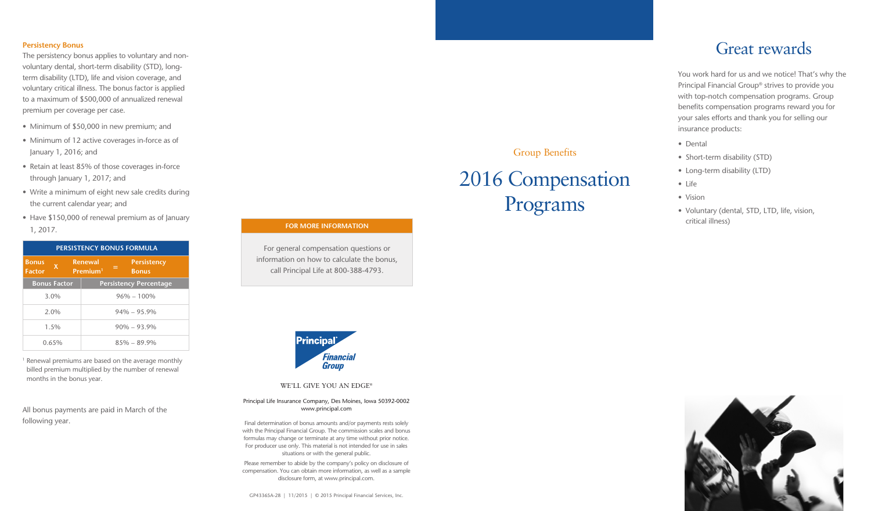#### **Persistency Bonus**

The persistency bonus applies to voluntary and nonvoluntary dental, short-term disability (STD), longterm disability (LTD), life and vision coverage, and voluntary critical illness. The bonus factor is applied to a maximum of \$500,000 of annualized renewal premium per coverage per case.

- Minimum of \$50,000 in new premium; and
- Minimum of 12 active coverages in-force as of January 1, 2016; and
- Retain at least 85% of those coverages in-force through January 1, 2017; and
- Write a minimum of eight new sale credits during the current calendar year; and
- Have \$150,000 of renewal premium as of January 1, 2017.

| <b>PERSISTENCY BONUS FORMULA</b> |                     |                 |                                        |     |                                    |  |
|----------------------------------|---------------------|-----------------|----------------------------------------|-----|------------------------------------|--|
| <b>Bonus</b><br><b>Factor</b>    | X                   |                 | <b>Renewal</b><br>Premium <sup>1</sup> | $=$ | <b>Persistency</b><br><b>Bonus</b> |  |
|                                  | <b>Bonus Factor</b> |                 |                                        |     | <b>Persistency Percentage</b>      |  |
|                                  | 3.0%                |                 |                                        |     | $96\% - 100\%$                     |  |
| 2.0%                             |                     | $94\% - 95.9\%$ |                                        |     |                                    |  |
| $1.5\%$                          |                     | $90\% - 93.9\%$ |                                        |     |                                    |  |
| 0.65%                            |                     | $85\% - 89.9\%$ |                                        |     |                                    |  |

<sup>1</sup> Renewal premiums are based on the average monthly billed premium multiplied by the number of renewal months in the bonus year.

All bonus payments are paid in March of the following year.

### **FOR MORE INFORMATION**

For general compensation questions or information on how to calculate the bonus, call Principal Life at 800-388-4793.



WE'LL GIVE YOU AN EDGE®

Principal Life Insurance Company, Des Moines, Iowa 50392-0002 www.principal.com

Final determination of bonus amounts and/or payments rests solely with the Principal Financial Group. The commission scales and bonus formulas may change or terminate at any time without prior notice. For producer use only. This material is not intended for use in sales situations or with the general public.

Please remember to abide by the company's policy on disclosure of compensation. You can obtain more information, as well as a sample disclosure form, at www.principal.com.

GP43365A-28 | 11/2015 | © 2015 Principal Financial Services, Inc.

# Great rewards

You work hard for us and we notice! That's why the Principal Financial Group® strives to provide you with top-notch compensation programs. Group benefits compensation programs reward you for your sales efforts and thank you for selling our insurance products:

• Dental

Group Benefits

2016 Compensation

Programs

- Short-term disability (STD)
- Long-term disability (LTD)
- Life
- Vision
- Voluntary (dental, STD, LTD, life, vision, critical illness)